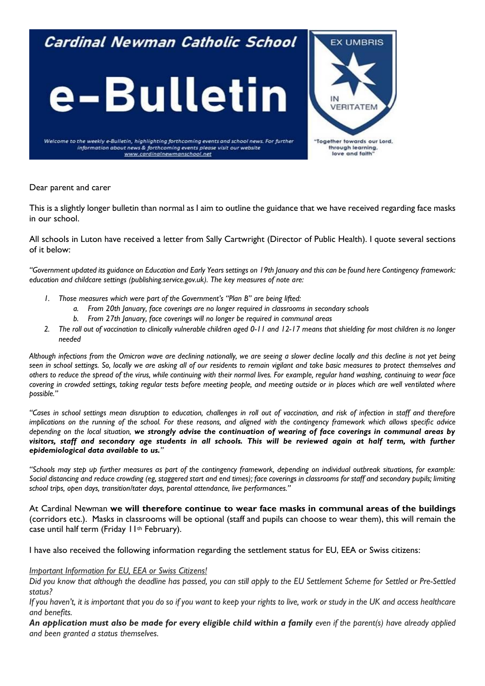## Cardinal Newman Catholic School





Welcome to the weekly e-Bulletin, highlighting forthcoming events and school news. For further information about news & forthcoming events please visit our website www.cardinalnewmanschool.net

Dear parent and carer

This is a slightly longer bulletin than normal as I aim to outline the guidance that we have received regarding face masks in our school.

All schools in Luton have received a letter from Sally Cartwright (Director of Public Health). I quote several sections of it below:

*"Government updated its guidance on Education and Early Years settings on 19th January and this can be found here Contingency framework: education and childcare settings (publishing.service.gov.uk). The key measures of note are:* 

- *1. Those measures which were part of the Government's "Plan B" are being lifted:* 
	- *a. From 20th January, face coverings are no longer required in classrooms in secondary schools*
	- *b. From 27th January, face coverings will no longer be required in communal areas*
- *2. The roll out of vaccination to clinically vulnerable children aged 0-11 and 12-17 means that shielding for most children is no longer needed*

*Although infections from the Omicron wave are declining nationally, we are seeing a slower decline locally and this decline is not yet being seen in school settings. So, locally we are asking all of our residents to remain vigilant and take basic measures to protect themselves and others to reduce the spread of the virus, while continuing with their normal lives. For example, regular hand washing, continuing to wear face covering in crowded settings, taking regular tests before meeting people, and meeting outside or in places which are well ventilated where possible."*

*"Cases in school settings mean disruption to education, challenges in roll out of vaccination, and risk of infection in staff and therefore implications on the running of the school. For these reasons, and aligned with the contingency framework which allows specific advice depending on the local situation, we strongly advise the continuation of wearing of face coverings in communal areas by*  visitors, staff and secondary age students in all schools. This will be reviewed again at half term, with further *epidemiological data available to us."*

*"Schools may step up further measures as part of the contingency framework, depending on individual outbreak situations, for example: Social distancing and reduce crowding (eg, staggered start and end times); face coverings in classrooms for staff and secondary pupils; limiting school trips, open days, transition/tater days, parental attendance, live performances."*

At Cardinal Newman **we will therefore continue to wear face masks in communal areas of the buildings** (corridors etc.). Masks in classrooms will be optional (staff and pupils can choose to wear them), this will remain the case until half term (Friday 11<sup>th</sup> February).

I have also received the following information regarding the settlement status for EU, EEA or Swiss citizens:

## *Important Information for EU, EEA or Swiss Citizens!*

*Did you know that although the deadline has passed, you can still apply to the EU Settlement Scheme for Settled or Pre-Settled status?*

*If you haven't, it is important that you do so if you want to keep your rights to live, work or study in the UK and access healthcare and benefits.*

*An application must also be made for every eligible child within a family even if the parent(s) have already applied and been granted a status themselves.*